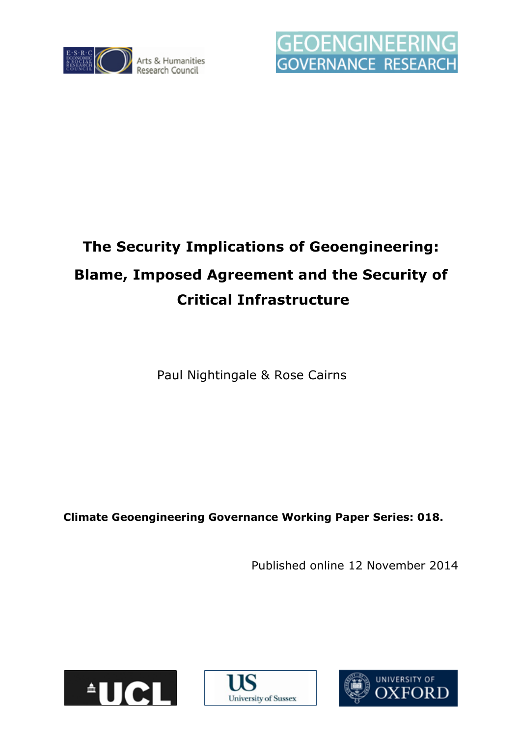



# **The Security Implications of Geoengineering: Blame, Imposed Agreement and the Security of Critical Infrastructure**

Paul Nightingale & Rose Cairns

**Climate Geoengineering Governance Working Paper Series: 018.**

Published online 12 November 2014





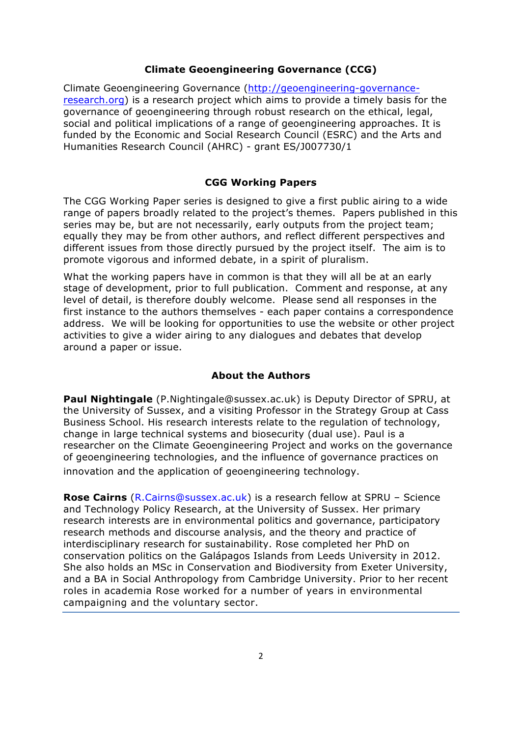#### **Climate Geoengineering Governance (CCG)**

Climate Geoengineering Governance (http://geoengineering-governanceresearch.org) is a research project which aims to provide a timely basis for the governance of geoengineering through robust research on the ethical, legal, social and political implications of a range of geoengineering approaches. It is funded by the Economic and Social Research Council (ESRC) and the Arts and Humanities Research Council (AHRC) - grant ES/J007730/1

#### **CGG Working Papers**

The CGG Working Paper series is designed to give a first public airing to a wide range of papers broadly related to the project's themes. Papers published in this series may be, but are not necessarily, early outputs from the project team; equally they may be from other authors, and reflect different perspectives and different issues from those directly pursued by the project itself. The aim is to promote vigorous and informed debate, in a spirit of pluralism.

What the working papers have in common is that they will all be at an early stage of development, prior to full publication. Comment and response, at any level of detail, is therefore doubly welcome. Please send all responses in the first instance to the authors themselves - each paper contains a correspondence address. We will be looking for opportunities to use the website or other project activities to give a wider airing to any dialogues and debates that develop around a paper or issue.

## **About the Authors**

**Paul Nightingale** (P.Nightingale@sussex.ac.uk) is Deputy Director of SPRU, at the University of Sussex, and a visiting Professor in the Strategy Group at Cass Business School. His research interests relate to the regulation of technology, change in large technical systems and biosecurity (dual use). Paul is a researcher on the Climate Geoengineering Project and works on the governance of geoengineering technologies, and the influence of governance practices on innovation and the application of geoengineering technology.

**Rose Cairns** (R.Cairns@sussex.ac.uk) is a research fellow at SPRU – Science and Technology Policy Research, at the University of Sussex. Her primary research interests are in environmental politics and governance, participatory research methods and discourse analysis, and the theory and practice of interdisciplinary research for sustainability. Rose completed her PhD on conservation politics on the Galápagos Islands from Leeds University in 2012. She also holds an MSc in Conservation and Biodiversity from Exeter University, and a BA in Social Anthropology from Cambridge University. Prior to her recent roles in academia Rose worked for a number of years in environmental campaigning and the voluntary sector.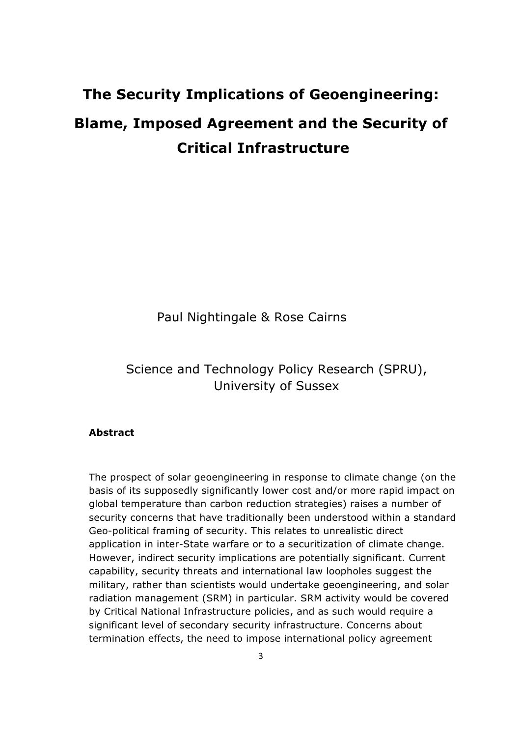## **The Security Implications of Geoengineering: Blame, Imposed Agreement and the Security of Critical Infrastructure**

Paul Nightingale & Rose Cairns

Science and Technology Policy Research (SPRU), University of Sussex

## **Abstract**

The prospect of solar geoengineering in response to climate change (on the basis of its supposedly significantly lower cost and/or more rapid impact on global temperature than carbon reduction strategies) raises a number of security concerns that have traditionally been understood within a standard Geo-political framing of security. This relates to unrealistic direct application in inter-State warfare or to a securitization of climate change. However, indirect security implications are potentially significant. Current capability, security threats and international law loopholes suggest the military, rather than scientists would undertake geoengineering, and solar radiation management (SRM) in particular. SRM activity would be covered by Critical National Infrastructure policies, and as such would require a significant level of secondary security infrastructure. Concerns about termination effects, the need to impose international policy agreement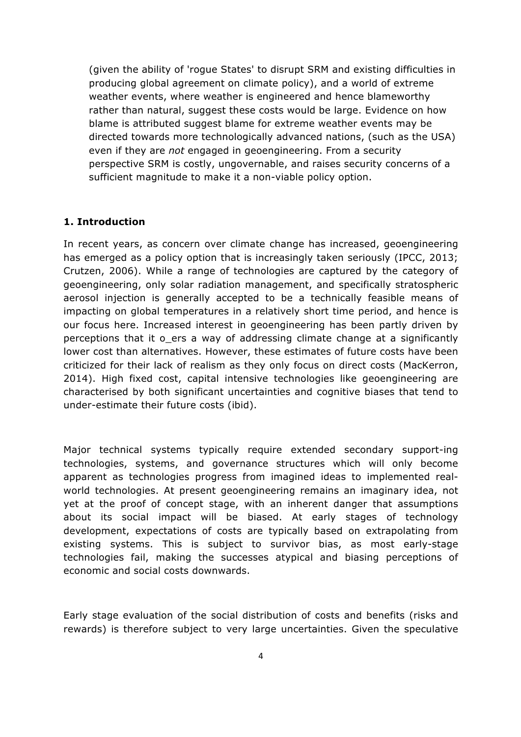(given the ability of 'rogue States' to disrupt SRM and existing difficulties in producing global agreement on climate policy), and a world of extreme weather events, where weather is engineered and hence blameworthy rather than natural, suggest these costs would be large. Evidence on how blame is attributed suggest blame for extreme weather events may be directed towards more technologically advanced nations, (such as the USA) even if they are *not* engaged in geoengineering. From a security perspective SRM is costly, ungovernable, and raises security concerns of a sufficient magnitude to make it a non-viable policy option.

#### **1. Introduction**

In recent years, as concern over climate change has increased, geoengineering has emerged as a policy option that is increasingly taken seriously (IPCC, 2013; Crutzen, 2006). While a range of technologies are captured by the category of geoengineering, only solar radiation management, and specifically stratospheric aerosol injection is generally accepted to be a technically feasible means of impacting on global temperatures in a relatively short time period, and hence is our focus here. Increased interest in geoengineering has been partly driven by perceptions that it o\_ers a way of addressing climate change at a significantly lower cost than alternatives. However, these estimates of future costs have been criticized for their lack of realism as they only focus on direct costs (MacKerron, 2014). High fixed cost, capital intensive technologies like geoengineering are characterised by both significant uncertainties and cognitive biases that tend to under-estimate their future costs (ibid).

Major technical systems typically require extended secondary support-ing technologies, systems, and governance structures which will only become apparent as technologies progress from imagined ideas to implemented realworld technologies. At present geoengineering remains an imaginary idea, not yet at the proof of concept stage, with an inherent danger that assumptions about its social impact will be biased. At early stages of technology development, expectations of costs are typically based on extrapolating from existing systems. This is subject to survivor bias, as most early-stage technologies fail, making the successes atypical and biasing perceptions of economic and social costs downwards.

Early stage evaluation of the social distribution of costs and benefits (risks and rewards) is therefore subject to very large uncertainties. Given the speculative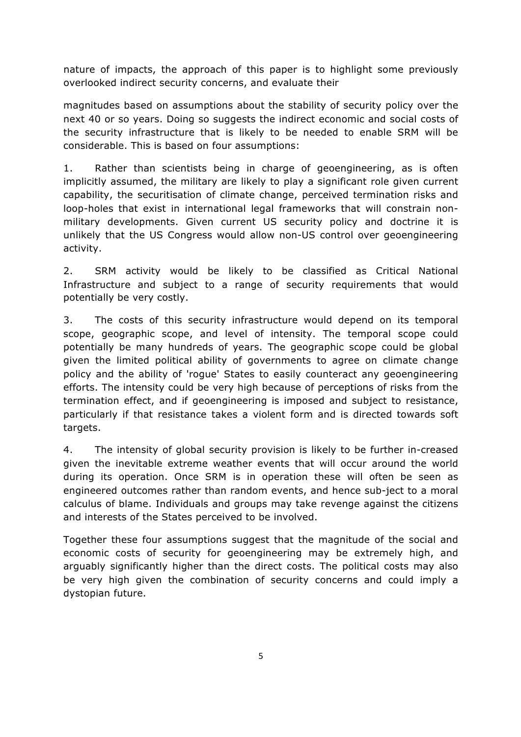nature of impacts, the approach of this paper is to highlight some previously overlooked indirect security concerns, and evaluate their

magnitudes based on assumptions about the stability of security policy over the next 40 or so years. Doing so suggests the indirect economic and social costs of the security infrastructure that is likely to be needed to enable SRM will be considerable. This is based on four assumptions:

1. Rather than scientists being in charge of geoengineering, as is often implicitly assumed, the military are likely to play a significant role given current capability, the securitisation of climate change, perceived termination risks and loop-holes that exist in international legal frameworks that will constrain nonmilitary developments. Given current US security policy and doctrine it is unlikely that the US Congress would allow non-US control over geoengineering activity.

2. SRM activity would be likely to be classified as Critical National Infrastructure and subject to a range of security requirements that would potentially be very costly.

3. The costs of this security infrastructure would depend on its temporal scope, geographic scope, and level of intensity. The temporal scope could potentially be many hundreds of years. The geographic scope could be global given the limited political ability of governments to agree on climate change policy and the ability of 'rogue' States to easily counteract any geoengineering efforts. The intensity could be very high because of perceptions of risks from the termination effect, and if geoengineering is imposed and subject to resistance, particularly if that resistance takes a violent form and is directed towards soft targets.

4. The intensity of global security provision is likely to be further in-creased given the inevitable extreme weather events that will occur around the world during its operation. Once SRM is in operation these will often be seen as engineered outcomes rather than random events, and hence sub-ject to a moral calculus of blame. Individuals and groups may take revenge against the citizens and interests of the States perceived to be involved.

Together these four assumptions suggest that the magnitude of the social and economic costs of security for geoengineering may be extremely high, and arguably significantly higher than the direct costs. The political costs may also be very high given the combination of security concerns and could imply a dystopian future.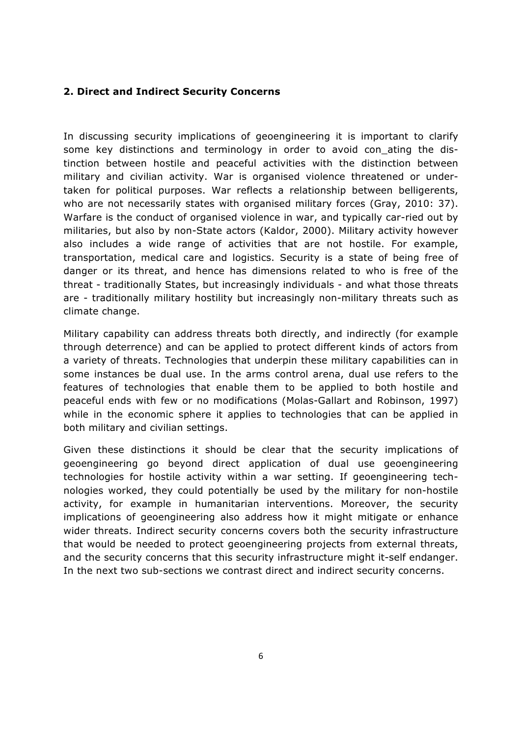## **2. Direct and Indirect Security Concerns**

In discussing security implications of geoengineering it is important to clarify some key distinctions and terminology in order to avoid con ating the distinction between hostile and peaceful activities with the distinction between military and civilian activity. War is organised violence threatened or undertaken for political purposes. War reflects a relationship between belligerents, who are not necessarily states with organised military forces (Gray, 2010: 37). Warfare is the conduct of organised violence in war, and typically car-ried out by militaries, but also by non-State actors (Kaldor, 2000). Military activity however also includes a wide range of activities that are not hostile. For example, transportation, medical care and logistics. Security is a state of being free of danger or its threat, and hence has dimensions related to who is free of the threat - traditionally States, but increasingly individuals - and what those threats are - traditionally military hostility but increasingly non-military threats such as climate change.

Military capability can address threats both directly, and indirectly (for example through deterrence) and can be applied to protect different kinds of actors from a variety of threats. Technologies that underpin these military capabilities can in some instances be dual use. In the arms control arena, dual use refers to the features of technologies that enable them to be applied to both hostile and peaceful ends with few or no modifications (Molas-Gallart and Robinson, 1997) while in the economic sphere it applies to technologies that can be applied in both military and civilian settings.

Given these distinctions it should be clear that the security implications of geoengineering go beyond direct application of dual use geoengineering technologies for hostile activity within a war setting. If geoengineering technologies worked, they could potentially be used by the military for non-hostile activity, for example in humanitarian interventions. Moreover, the security implications of geoengineering also address how it might mitigate or enhance wider threats. Indirect security concerns covers both the security infrastructure that would be needed to protect geoengineering projects from external threats, and the security concerns that this security infrastructure might it-self endanger. In the next two sub-sections we contrast direct and indirect security concerns.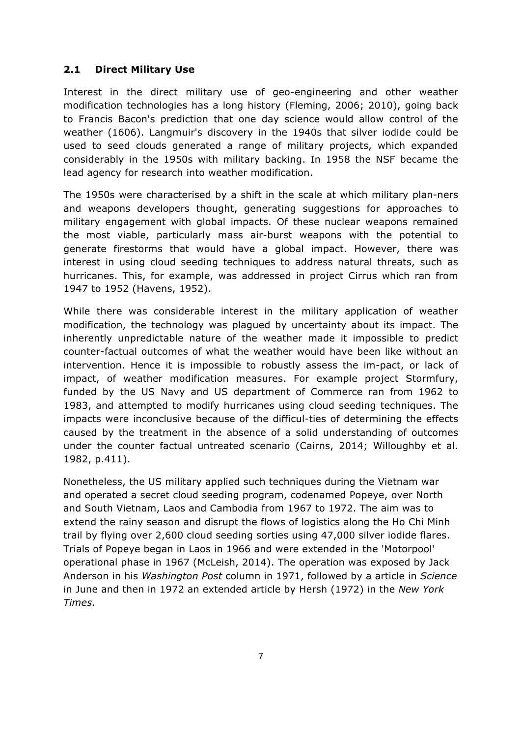## **2.1 Direct Military Use**

Interest in the direct military use of geo-engineering and other weather modification technologies has a long history (Fleming, 2006; 2010), going back to Francis Bacon's prediction that one day science would allow control of the weather (1606). Langmuir's discovery in the 1940s that silver iodide could be used to seed clouds generated a range of military projects, which expanded considerably in the 1950s with military backing. In 1958 the NSF became the lead agency for research into weather modification.

The 1950s were characterised by a shift in the scale at which military plan-ners and weapons developers thought, generating suggestions for approaches to military engagement with global impacts. Of these nuclear weapons remained the most viable, particularly mass air-burst weapons with the potential to generate firestorms that would have a global impact. However, there was interest in using cloud seeding techniques to address natural threats, such as hurricanes. This, for example, was addressed in project Cirrus which ran from 1947 to 1952 (Havens, 1952).

While there was considerable interest in the military application of weather modification, the technology was plagued by uncertainty about its impact. The inherently unpredictable nature of the weather made it impossible to predict counter-factual outcomes of what the weather would have been like without an intervention. Hence it is impossible to robustly assess the im-pact, or lack of impact, of weather modification measures. For example project Stormfury, funded by the US Navy and US department of Commerce ran from 1962 to 1983, and attempted to modify hurricanes using cloud seeding techniques. The impacts were inconclusive because of the difficul-ties of determining the effects caused by the treatment in the absence of a solid understanding of outcomes under the counter factual untreated scenario (Cairns, 2014; Willoughby et al. 1982, p.411).

Nonetheless, the US military applied such techniques during the Vietnam war and operated a secret cloud seeding program, codenamed Popeye, over North and South Vietnam, Laos and Cambodia from 1967 to 1972. The aim was to extend the rainy season and disrupt the flows of logistics along the Ho Chi Minh trail by flying over 2,600 cloud seeding sorties using 47,000 silver iodide flares. Trials of Popeye began in Laos in 1966 and were extended in the 'Motorpool' operational phase in 1967 (McLeish, 2014). The operation was exposed by Jack Anderson in his *Washington Post* column in 1971, followed by a article in *Science* in June and then in 1972 an extended article by Hersh (1972) in the *New York Times.*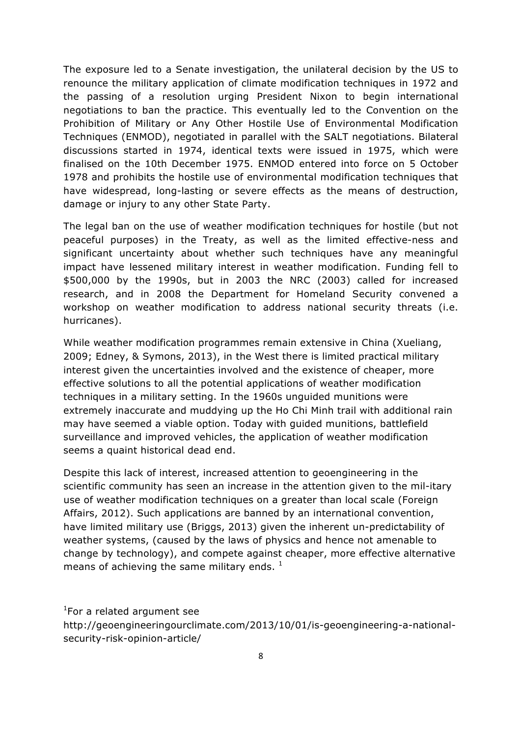The exposure led to a Senate investigation, the unilateral decision by the US to renounce the military application of climate modification techniques in 1972 and the passing of a resolution urging President Nixon to begin international negotiations to ban the practice. This eventually led to the Convention on the Prohibition of Military or Any Other Hostile Use of Environmental Modification Techniques (ENMOD), negotiated in parallel with the SALT negotiations. Bilateral discussions started in 1974, identical texts were issued in 1975, which were finalised on the 10th December 1975. ENMOD entered into force on 5 October 1978 and prohibits the hostile use of environmental modification techniques that have widespread, long-lasting or severe effects as the means of destruction, damage or injury to any other State Party.

The legal ban on the use of weather modification techniques for hostile (but not peaceful purposes) in the Treaty, as well as the limited effective-ness and significant uncertainty about whether such techniques have any meaningful impact have lessened military interest in weather modification. Funding fell to \$500,000 by the 1990s, but in 2003 the NRC (2003) called for increased research, and in 2008 the Department for Homeland Security convened a workshop on weather modification to address national security threats (i.e. hurricanes).

While weather modification programmes remain extensive in China (Xueliang, 2009; Edney, & Symons, 2013), in the West there is limited practical military interest given the uncertainties involved and the existence of cheaper, more effective solutions to all the potential applications of weather modification techniques in a military setting. In the 1960s unguided munitions were extremely inaccurate and muddying up the Ho Chi Minh trail with additional rain may have seemed a viable option. Today with guided munitions, battlefield surveillance and improved vehicles, the application of weather modification seems a quaint historical dead end.

Despite this lack of interest, increased attention to geoengineering in the scientific community has seen an increase in the attention given to the mil-itary use of weather modification techniques on a greater than local scale (Foreign Affairs, 2012). Such applications are banned by an international convention, have limited military use (Briggs, 2013) given the inherent un-predictability of weather systems, (caused by the laws of physics and hence not amenable to change by technology), and compete against cheaper, more effective alternative means of achieving the same military ends.  $<sup>1</sup>$ </sup>

<sup>1</sup>For a related argument see

http://geoengineeringourclimate.com/2013/10/01/is-geoengineering-a-nationalsecurity-risk-opinion-article/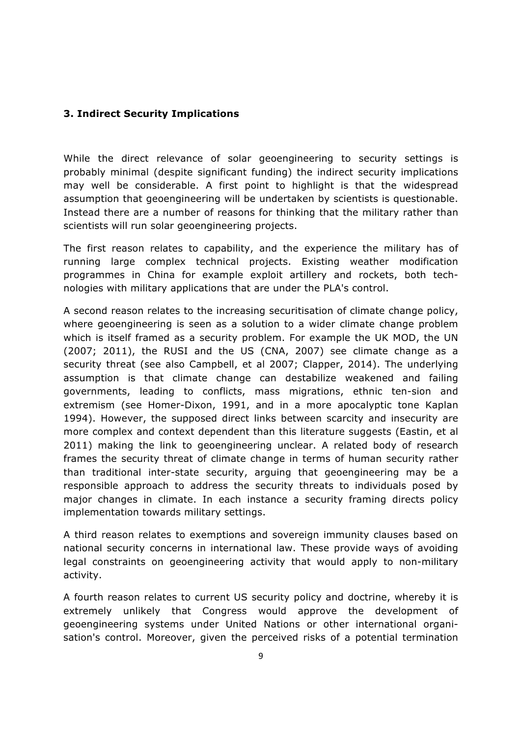## **3. Indirect Security Implications**

While the direct relevance of solar geoengineering to security settings is probably minimal (despite significant funding) the indirect security implications may well be considerable. A first point to highlight is that the widespread assumption that geoengineering will be undertaken by scientists is questionable. Instead there are a number of reasons for thinking that the military rather than scientists will run solar geoengineering projects.

The first reason relates to capability, and the experience the military has of running large complex technical projects. Existing weather modification programmes in China for example exploit artillery and rockets, both technologies with military applications that are under the PLA's control.

A second reason relates to the increasing securitisation of climate change policy, where geoengineering is seen as a solution to a wider climate change problem which is itself framed as a security problem. For example the UK MOD, the UN (2007; 2011), the RUSI and the US (CNA, 2007) see climate change as a security threat (see also Campbell, et al 2007; Clapper, 2014). The underlying assumption is that climate change can destabilize weakened and failing governments, leading to conflicts, mass migrations, ethnic ten-sion and extremism (see Homer-Dixon, 1991, and in a more apocalyptic tone Kaplan 1994). However, the supposed direct links between scarcity and insecurity are more complex and context dependent than this literature suggests (Eastin, et al 2011) making the link to geoengineering unclear. A related body of research frames the security threat of climate change in terms of human security rather than traditional inter-state security, arguing that geoengineering may be a responsible approach to address the security threats to individuals posed by major changes in climate. In each instance a security framing directs policy implementation towards military settings.

A third reason relates to exemptions and sovereign immunity clauses based on national security concerns in international law. These provide ways of avoiding legal constraints on geoengineering activity that would apply to non-military activity.

A fourth reason relates to current US security policy and doctrine, whereby it is extremely unlikely that Congress would approve the development of geoengineering systems under United Nations or other international organisation's control. Moreover, given the perceived risks of a potential termination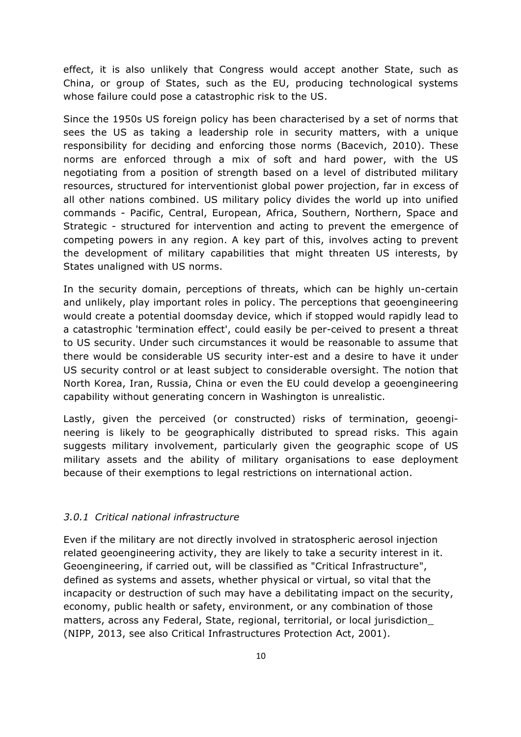effect, it is also unlikely that Congress would accept another State, such as China, or group of States, such as the EU, producing technological systems whose failure could pose a catastrophic risk to the US.

Since the 1950s US foreign policy has been characterised by a set of norms that sees the US as taking a leadership role in security matters, with a unique responsibility for deciding and enforcing those norms (Bacevich, 2010). These norms are enforced through a mix of soft and hard power, with the US negotiating from a position of strength based on a level of distributed military resources, structured for interventionist global power projection, far in excess of all other nations combined. US military policy divides the world up into unified commands - Pacific, Central, European, Africa, Southern, Northern, Space and Strategic - structured for intervention and acting to prevent the emergence of competing powers in any region. A key part of this, involves acting to prevent the development of military capabilities that might threaten US interests, by States unaligned with US norms.

In the security domain, perceptions of threats, which can be highly un-certain and unlikely, play important roles in policy. The perceptions that geoengineering would create a potential doomsday device, which if stopped would rapidly lead to a catastrophic 'termination effect', could easily be per-ceived to present a threat to US security. Under such circumstances it would be reasonable to assume that there would be considerable US security inter-est and a desire to have it under US security control or at least subject to considerable oversight. The notion that North Korea, Iran, Russia, China or even the EU could develop a geoengineering capability without generating concern in Washington is unrealistic.

Lastly, given the perceived (or constructed) risks of termination, geoengineering is likely to be geographically distributed to spread risks. This again suggests military involvement, particularly given the geographic scope of US military assets and the ability of military organisations to ease deployment because of their exemptions to legal restrictions on international action.

#### *3.0.1 Critical national infrastructure*

Even if the military are not directly involved in stratospheric aerosol injection related geoengineering activity, they are likely to take a security interest in it. Geoengineering, if carried out, will be classified as "Critical Infrastructure", defined as systems and assets, whether physical or virtual, so vital that the incapacity or destruction of such may have a debilitating impact on the security, economy, public health or safety, environment, or any combination of those matters, across any Federal, State, regional, territorial, or local jurisdiction\_ (NIPP, 2013, see also Critical Infrastructures Protection Act, 2001).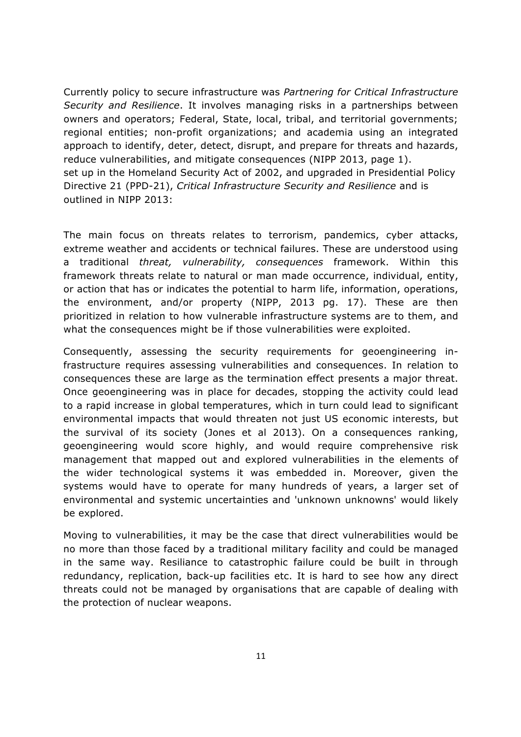Currently policy to secure infrastructure was *Partnering for Critical Infrastructure Security and Resilience*. It involves managing risks in a partnerships between owners and operators; Federal, State, local, tribal, and territorial governments; regional entities; non-profit organizations; and academia using an integrated approach to identify, deter, detect, disrupt, and prepare for threats and hazards, reduce vulnerabilities, and mitigate consequences (NIPP 2013, page 1). set up in the Homeland Security Act of 2002, and upgraded in Presidential Policy Directive 21 (PPD-21), *Critical Infrastructure Security and Resilience* and is outlined in NIPP 2013:

The main focus on threats relates to terrorism, pandemics, cyber attacks, extreme weather and accidents or technical failures. These are understood using a traditional *threat, vulnerability, consequences* framework. Within this framework threats relate to natural or man made occurrence, individual, entity, or action that has or indicates the potential to harm life, information, operations, the environment, and/or property (NIPP, 2013 pg. 17). These are then prioritized in relation to how vulnerable infrastructure systems are to them, and what the consequences might be if those vulnerabilities were exploited.

Consequently, assessing the security requirements for geoengineering infrastructure requires assessing vulnerabilities and consequences. In relation to consequences these are large as the termination effect presents a major threat. Once geoengineering was in place for decades, stopping the activity could lead to a rapid increase in global temperatures, which in turn could lead to significant environmental impacts that would threaten not just US economic interests, but the survival of its society (Jones et al 2013). On a consequences ranking, geoengineering would score highly, and would require comprehensive risk management that mapped out and explored vulnerabilities in the elements of the wider technological systems it was embedded in. Moreover, given the systems would have to operate for many hundreds of years, a larger set of environmental and systemic uncertainties and 'unknown unknowns' would likely be explored.

Moving to vulnerabilities, it may be the case that direct vulnerabilities would be no more than those faced by a traditional military facility and could be managed in the same way. Resiliance to catastrophic failure could be built in through redundancy, replication, back-up facilities etc. It is hard to see how any direct threats could not be managed by organisations that are capable of dealing with the protection of nuclear weapons.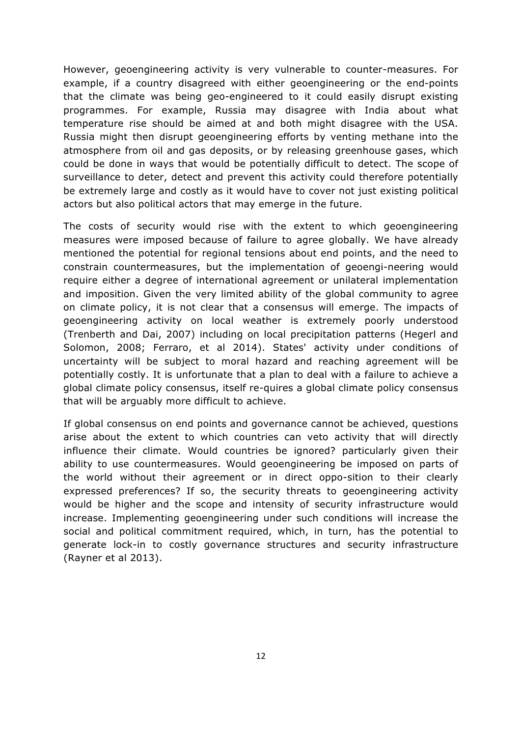However, geoengineering activity is very vulnerable to counter-measures. For example, if a country disagreed with either geoengineering or the end-points that the climate was being geo-engineered to it could easily disrupt existing programmes. For example, Russia may disagree with India about what temperature rise should be aimed at and both might disagree with the USA. Russia might then disrupt geoengineering efforts by venting methane into the atmosphere from oil and gas deposits, or by releasing greenhouse gases, which could be done in ways that would be potentially difficult to detect. The scope of surveillance to deter, detect and prevent this activity could therefore potentially be extremely large and costly as it would have to cover not just existing political actors but also political actors that may emerge in the future.

The costs of security would rise with the extent to which geoengineering measures were imposed because of failure to agree globally. We have already mentioned the potential for regional tensions about end points, and the need to constrain countermeasures, but the implementation of geoengi-neering would require either a degree of international agreement or unilateral implementation and imposition. Given the very limited ability of the global community to agree on climate policy, it is not clear that a consensus will emerge. The impacts of geoengineering activity on local weather is extremely poorly understood (Trenberth and Dai, 2007) including on local precipitation patterns (Hegerl and Solomon, 2008; Ferraro, et al 2014). States' activity under conditions of uncertainty will be subject to moral hazard and reaching agreement will be potentially costly. It is unfortunate that a plan to deal with a failure to achieve a global climate policy consensus, itself re-quires a global climate policy consensus that will be arguably more difficult to achieve.

If global consensus on end points and governance cannot be achieved, questions arise about the extent to which countries can veto activity that will directly influence their climate. Would countries be ignored? particularly given their ability to use countermeasures. Would geoengineering be imposed on parts of the world without their agreement or in direct oppo-sition to their clearly expressed preferences? If so, the security threats to geoengineering activity would be higher and the scope and intensity of security infrastructure would increase. Implementing geoengineering under such conditions will increase the social and political commitment required, which, in turn, has the potential to generate lock-in to costly governance structures and security infrastructure (Rayner et al 2013).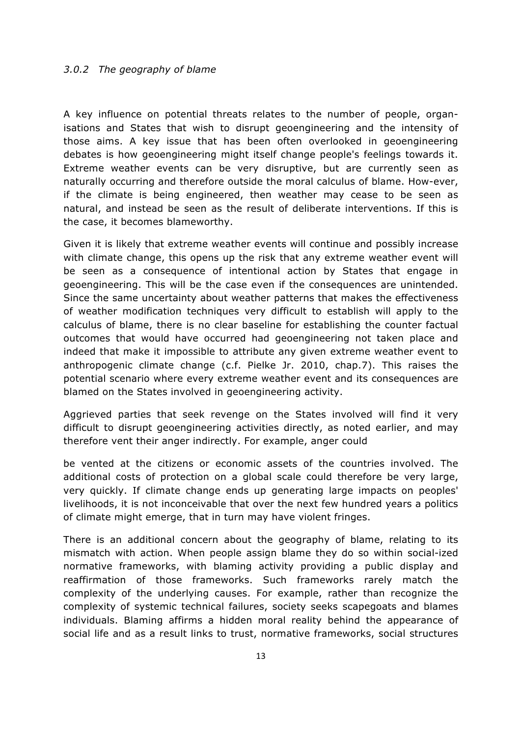#### *3.0.2 The geography of blame*

A key influence on potential threats relates to the number of people, organisations and States that wish to disrupt geoengineering and the intensity of those aims. A key issue that has been often overlooked in geoengineering debates is how geoengineering might itself change people's feelings towards it. Extreme weather events can be very disruptive, but are currently seen as naturally occurring and therefore outside the moral calculus of blame. How-ever, if the climate is being engineered, then weather may cease to be seen as natural, and instead be seen as the result of deliberate interventions. If this is the case, it becomes blameworthy.

Given it is likely that extreme weather events will continue and possibly increase with climate change, this opens up the risk that any extreme weather event will be seen as a consequence of intentional action by States that engage in geoengineering. This will be the case even if the consequences are unintended. Since the same uncertainty about weather patterns that makes the effectiveness of weather modification techniques very difficult to establish will apply to the calculus of blame, there is no clear baseline for establishing the counter factual outcomes that would have occurred had geoengineering not taken place and indeed that make it impossible to attribute any given extreme weather event to anthropogenic climate change (c.f. Pielke Jr. 2010, chap.7). This raises the potential scenario where every extreme weather event and its consequences are blamed on the States involved in geoengineering activity.

Aggrieved parties that seek revenge on the States involved will find it very difficult to disrupt geoengineering activities directly, as noted earlier, and may therefore vent their anger indirectly. For example, anger could

be vented at the citizens or economic assets of the countries involved. The additional costs of protection on a global scale could therefore be very large, very quickly. If climate change ends up generating large impacts on peoples' livelihoods, it is not inconceivable that over the next few hundred years a politics of climate might emerge, that in turn may have violent fringes.

There is an additional concern about the geography of blame, relating to its mismatch with action. When people assign blame they do so within social-ized normative frameworks, with blaming activity providing a public display and reaffirmation of those frameworks. Such frameworks rarely match the complexity of the underlying causes. For example, rather than recognize the complexity of systemic technical failures, society seeks scapegoats and blames individuals. Blaming affirms a hidden moral reality behind the appearance of social life and as a result links to trust, normative frameworks, social structures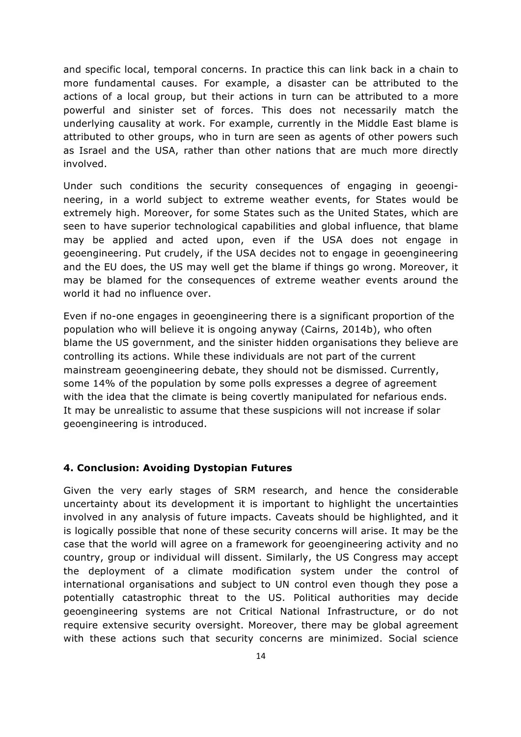and specific local, temporal concerns. In practice this can link back in a chain to more fundamental causes. For example, a disaster can be attributed to the actions of a local group, but their actions in turn can be attributed to a more powerful and sinister set of forces. This does not necessarily match the underlying causality at work. For example, currently in the Middle East blame is attributed to other groups, who in turn are seen as agents of other powers such as Israel and the USA, rather than other nations that are much more directly involved.

Under such conditions the security consequences of engaging in geoengineering, in a world subject to extreme weather events, for States would be extremely high. Moreover, for some States such as the United States, which are seen to have superior technological capabilities and global influence, that blame may be applied and acted upon, even if the USA does not engage in geoengineering. Put crudely, if the USA decides not to engage in geoengineering and the EU does, the US may well get the blame if things go wrong. Moreover, it may be blamed for the consequences of extreme weather events around the world it had no influence over.

Even if no-one engages in geoengineering there is a significant proportion of the population who will believe it is ongoing anyway (Cairns, 2014b), who often blame the US government, and the sinister hidden organisations they believe are controlling its actions. While these individuals are not part of the current mainstream geoengineering debate, they should not be dismissed. Currently, some 14% of the population by some polls expresses a degree of agreement with the idea that the climate is being covertly manipulated for nefarious ends. It may be unrealistic to assume that these suspicions will not increase if solar geoengineering is introduced.

#### **4. Conclusion: Avoiding Dystopian Futures**

Given the very early stages of SRM research, and hence the considerable uncertainty about its development it is important to highlight the uncertainties involved in any analysis of future impacts. Caveats should be highlighted, and it is logically possible that none of these security concerns will arise. It may be the case that the world will agree on a framework for geoengineering activity and no country, group or individual will dissent. Similarly, the US Congress may accept the deployment of a climate modification system under the control of international organisations and subject to UN control even though they pose a potentially catastrophic threat to the US. Political authorities may decide geoengineering systems are not Critical National Infrastructure, or do not require extensive security oversight. Moreover, there may be global agreement with these actions such that security concerns are minimized. Social science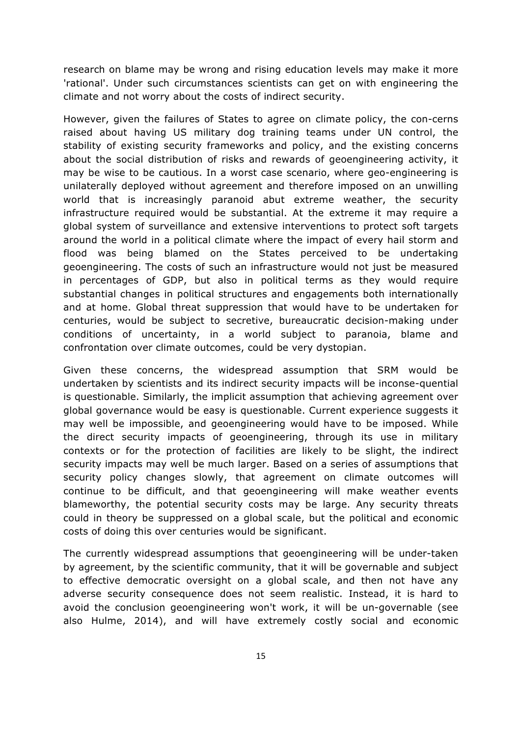research on blame may be wrong and rising education levels may make it more 'rational'. Under such circumstances scientists can get on with engineering the climate and not worry about the costs of indirect security.

However, given the failures of States to agree on climate policy, the con-cerns raised about having US military dog training teams under UN control, the stability of existing security frameworks and policy, and the existing concerns about the social distribution of risks and rewards of geoengineering activity, it may be wise to be cautious. In a worst case scenario, where geo-engineering is unilaterally deployed without agreement and therefore imposed on an unwilling world that is increasingly paranoid abut extreme weather, the security infrastructure required would be substantial. At the extreme it may require a global system of surveillance and extensive interventions to protect soft targets around the world in a political climate where the impact of every hail storm and flood was being blamed on the States perceived to be undertaking geoengineering. The costs of such an infrastructure would not just be measured in percentages of GDP, but also in political terms as they would require substantial changes in political structures and engagements both internationally and at home. Global threat suppression that would have to be undertaken for centuries, would be subject to secretive, bureaucratic decision-making under conditions of uncertainty, in a world subject to paranoia, blame and confrontation over climate outcomes, could be very dystopian.

Given these concerns, the widespread assumption that SRM would be undertaken by scientists and its indirect security impacts will be inconse-quential is questionable. Similarly, the implicit assumption that achieving agreement over global governance would be easy is questionable. Current experience suggests it may well be impossible, and geoengineering would have to be imposed. While the direct security impacts of geoengineering, through its use in military contexts or for the protection of facilities are likely to be slight, the indirect security impacts may well be much larger. Based on a series of assumptions that security policy changes slowly, that agreement on climate outcomes will continue to be difficult, and that geoengineering will make weather events blameworthy, the potential security costs may be large. Any security threats could in theory be suppressed on a global scale, but the political and economic costs of doing this over centuries would be significant.

The currently widespread assumptions that geoengineering will be under-taken by agreement, by the scientific community, that it will be governable and subject to effective democratic oversight on a global scale, and then not have any adverse security consequence does not seem realistic. Instead, it is hard to avoid the conclusion geoengineering won't work, it will be un-governable (see also Hulme, 2014), and will have extremely costly social and economic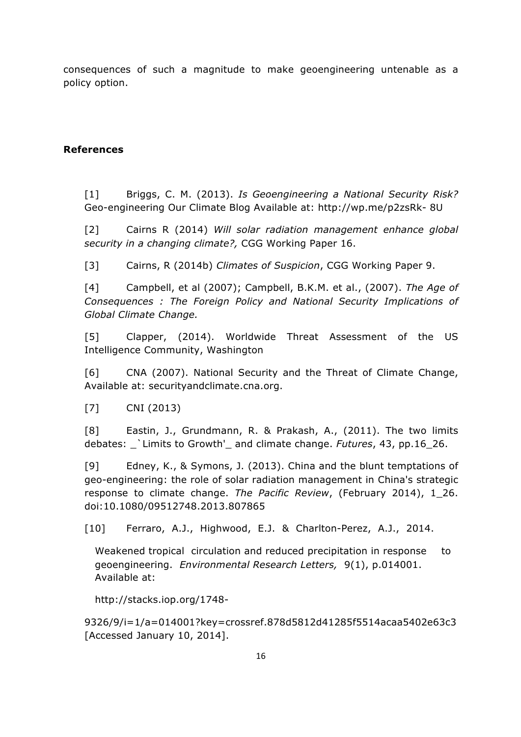consequences of such a magnitude to make geoengineering untenable as a policy option.

## **References**

[1] Briggs, C. M. (2013). *Is Geoengineering a National Security Risk?* Geo-engineering Our Climate Blog Available at: http://wp.me/p2zsRk- 8U

[2] Cairns R (2014) *Will solar radiation management enhance global security in a changing climate?,* CGG Working Paper 16.

[3] Cairns, R (2014b) *Climates of Suspicion*, CGG Working Paper 9.

[4] Campbell, et al (2007); Campbell, B.K.M. et al., (2007). *The Age of Consequences : The Foreign Policy and National Security Implications of Global Climate Change.* 

[5] Clapper, (2014). Worldwide Threat Assessment of the US Intelligence Community, Washington

[6] CNA (2007). National Security and the Threat of Climate Change, Available at: securityandclimate.cna.org.

[7] CNI (2013)

[8] Eastin, J., Grundmann, R. & Prakash, A., (2011). The two limits debates: \_`Limits to Growth'\_ and climate change. *Futures*, 43, pp.16\_26.

[9] Edney, K., & Symons, J. (2013). China and the blunt temptations of geo-engineering: the role of solar radiation management in China's strategic response to climate change. *The Pacific Review*, (February 2014), 1\_26. doi:10.1080/09512748.2013.807865

[10] Ferraro, A.J., Highwood, E.J. & Charlton-Perez, A.J., 2014.

Weakened tropical circulation and reduced precipitation in response to geoengineering. *Environmental Research Letters,* 9(1), p.014001. Available at:

http://stacks.iop.org/1748-

9326/9/i=1/a=014001?key=crossref.878d5812d41285f5514acaa5402e63c3 [Accessed January 10, 2014].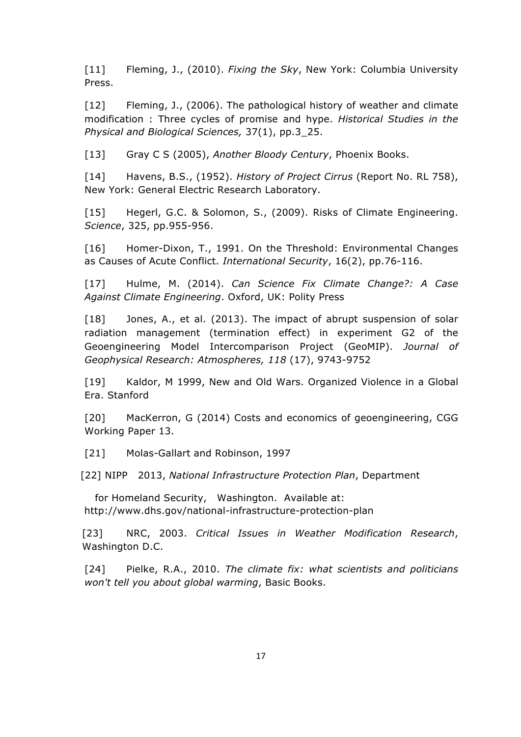[11] Fleming, J., (2010). *Fixing the Sky*, New York: Columbia University Press.

[12] Fleming, J., (2006). The pathological history of weather and climate modification : Three cycles of promise and hype. *Historical Studies in the Physical and Biological Sciences,* 37(1), pp.3\_25.

[13] Gray C S (2005), *Another Bloody Century*, Phoenix Books.

[14] Havens, B.S., (1952). *History of Project Cirrus* (Report No. RL 758), New York: General Electric Research Laboratory.

[15] Hegerl, G.C. & Solomon, S., (2009). Risks of Climate Engineering. *Science*, 325, pp.955-956.

[16] Homer-Dixon, T., 1991. On the Threshold: Environmental Changes as Causes of Acute Conflict. *International Security*, 16(2), pp.76-116.

[17] Hulme, M. (2014). *Can Science Fix Climate Change?: A Case Against Climate Engineering*. Oxford, UK: Polity Press

[18] Jones, A., et al. (2013). The impact of abrupt suspension of solar radiation management (termination effect) in experiment G2 of the Geoengineering Model Intercomparison Project (GeoMIP). *Journal of Geophysical Research: Atmospheres, 118* (17), 9743-9752

[19] Kaldor, M 1999, New and Old Wars. Organized Violence in a Global Era. Stanford

[20] MacKerron, G (2014) Costs and economics of geoengineering, CGG Working Paper 13.

[21] Molas-Gallart and Robinson, 1997

[22] NIPP 2013, *National Infrastructure Protection Plan*, Department

for Homeland Security, Washington. Available at: http://www.dhs.gov/national-infrastructure-protection-plan

[23] NRC, 2003. *Critical Issues in Weather Modification Research*, Washington D.C.

[24] Pielke, R.A., 2010. *The climate fix: what scientists and politicians won't tell you about global warming*, Basic Books.